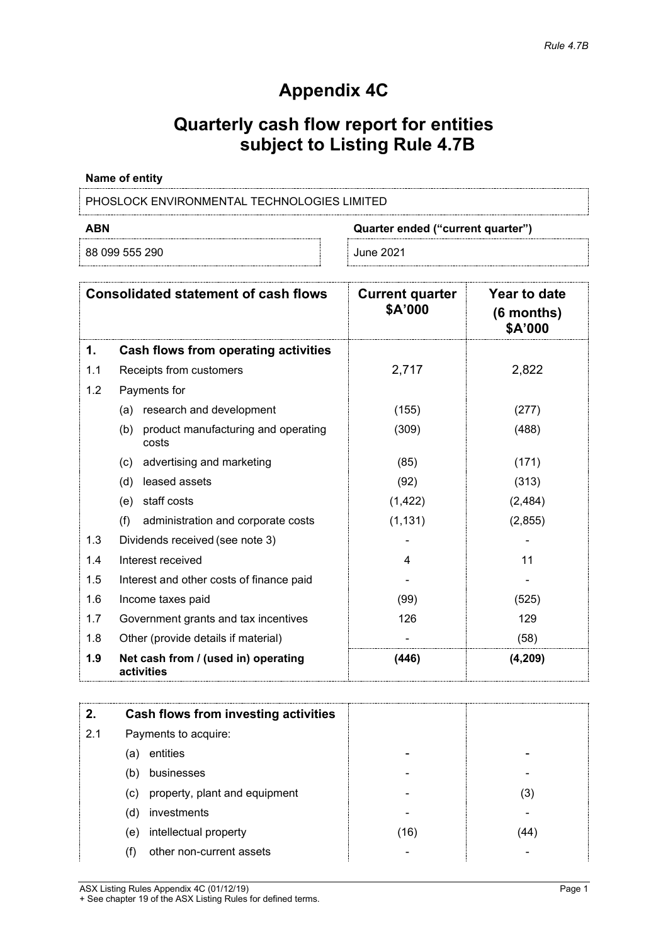# **Appendix 4C**

# **Quarterly cash flow report for entities subject to Listing Rule 4.7B**

### **Name of entity**

PHOSLOCK ENVIRONMENTAL TECHNOLOGIES LIMITED

88 099 555 290 June 2021

**ABN Quarter ended ("current quarter")**

| <b>Consolidated statement of cash flows</b> |                                                     | <b>Current quarter</b><br>\$A'000 | Year to date<br>$(6$ months)<br>\$A'000 |
|---------------------------------------------|-----------------------------------------------------|-----------------------------------|-----------------------------------------|
| 1.                                          | Cash flows from operating activities                |                                   |                                         |
| 1.1                                         | Receipts from customers                             | 2,717                             | 2,822                                   |
| 1.2                                         | Payments for                                        |                                   |                                         |
|                                             | research and development<br>(a)                     | (155)                             | (277)                                   |
|                                             | product manufacturing and operating<br>(b)<br>costs | (309)                             | (488)                                   |
|                                             | advertising and marketing<br>(c)                    | (85)                              | (171)                                   |
|                                             | leased assets<br>(d)                                | (92)                              | (313)                                   |
|                                             | staff costs<br>(e)                                  | (1, 422)                          | (2, 484)                                |
|                                             | (f)<br>administration and corporate costs           | (1, 131)                          | (2,855)                                 |
| 1.3                                         | Dividends received (see note 3)                     |                                   |                                         |
| 1.4                                         | Interest received                                   | 4                                 | 11                                      |
| 1.5                                         | Interest and other costs of finance paid            |                                   |                                         |
| 1.6                                         | Income taxes paid                                   | (99)                              | (525)                                   |
| 1.7                                         | Government grants and tax incentives                | 126                               | 129                                     |
| 1.8                                         | Other (provide details if material)                 |                                   | (58)                                    |
| 1.9                                         | Net cash from / (used in) operating<br>activities   | (446)                             | (4, 209)                                |

|     | Cash flows from investing activities |      |     |
|-----|--------------------------------------|------|-----|
| 2.1 | Payments to acquire:                 |      |     |
|     | entities<br>(a)                      |      |     |
|     | businesses<br>(b)                    |      |     |
|     | property, plant and equipment<br>(c) |      | (3) |
|     | investments<br>(d)                   |      |     |
|     | intellectual property<br>(e)         | (16) | 44  |
|     | other non-current assets             |      |     |

ASX Listing Rules Appendix 4C (01/12/19) Page 1 + See chapter 19 of the ASX Listing Rules for defined terms.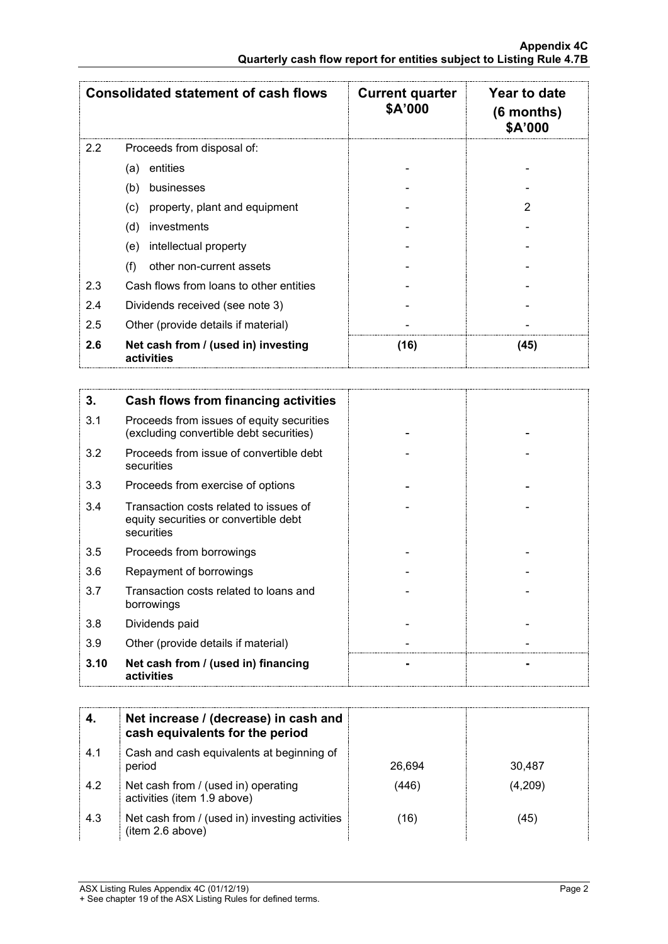| <b>Consolidated statement of cash flows</b> |                                                   | <b>Current quarter</b><br>\$A'000 | Year to date<br>$(6$ months)<br><b>\$A'000</b> |
|---------------------------------------------|---------------------------------------------------|-----------------------------------|------------------------------------------------|
| 2.2                                         | Proceeds from disposal of:                        |                                   |                                                |
|                                             | entities<br>(a)                                   |                                   |                                                |
|                                             | (b)<br>businesses                                 |                                   |                                                |
|                                             | property, plant and equipment<br>(c)              |                                   |                                                |
|                                             | investments<br>(d)                                |                                   |                                                |
|                                             | intellectual property<br>(e)                      |                                   |                                                |
|                                             | (f)<br>other non-current assets                   |                                   |                                                |
| 2.3                                         | Cash flows from loans to other entities           |                                   |                                                |
| 2.4                                         | Dividends received (see note 3)                   |                                   |                                                |
| 2.5                                         | Other (provide details if material)               |                                   |                                                |
| 2.6                                         | Net cash from / (used in) investing<br>activities | (16)                              | (45)                                           |

| 3.   | Cash flows from financing activities                                                          |  |
|------|-----------------------------------------------------------------------------------------------|--|
| 3.1  | Proceeds from issues of equity securities<br>(excluding convertible debt securities)          |  |
| 3.2  | Proceeds from issue of convertible debt<br>securities                                         |  |
| 3.3  | Proceeds from exercise of options                                                             |  |
| 3.4  | Transaction costs related to issues of<br>equity securities or convertible debt<br>securities |  |
| 3.5  | Proceeds from borrowings                                                                      |  |
| 3.6  | Repayment of borrowings                                                                       |  |
| 3.7  | Transaction costs related to loans and<br>borrowings                                          |  |
| 3.8  | Dividends paid                                                                                |  |
| 3.9  | Other (provide details if material)                                                           |  |
| 3.10 | Net cash from / (used in) financing<br>activities                                             |  |

|     | Net increase / (decrease) in cash and<br>cash equivalents for the period |        |         |
|-----|--------------------------------------------------------------------------|--------|---------|
| 4.1 | Cash and cash equivalents at beginning of<br>period                      | 26.694 | 30.487  |
| 4.2 | Net cash from / (used in) operating<br>activities (item 1.9 above)       | (446)  | (4,209) |
| 4.3 | Net cash from / (used in) investing activities<br>(item 2.6 above)       | (16)   | (45)    |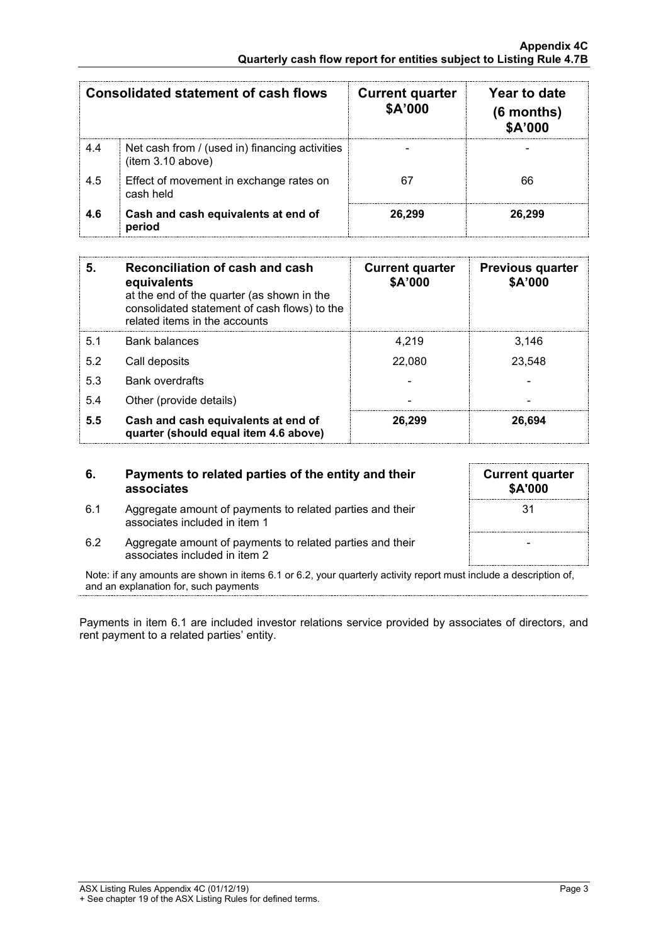| Consolidated statement of cash flows |                                                                     | <b>Current quarter</b><br>\$A'000 | Year to date<br>$(6$ months)<br>\$A'000 |
|--------------------------------------|---------------------------------------------------------------------|-----------------------------------|-----------------------------------------|
| 4.4                                  | Net cash from / (used in) financing activities<br>(item 3.10 above) |                                   |                                         |
| 4.5                                  | Effect of movement in exchange rates on<br>cash held                |                                   | 66                                      |
| 4.6                                  | Cash and cash equivalents at end of<br>period                       | 26,299                            | 26.299                                  |

| 5.  | <b>Reconciliation of cash and cash</b><br>equivalents<br>at the end of the quarter (as shown in the<br>consolidated statement of cash flows) to the<br>related items in the accounts | <b>Current quarter</b><br>\$A'000 | <b>Previous quarter</b><br>\$A'000 |
|-----|--------------------------------------------------------------------------------------------------------------------------------------------------------------------------------------|-----------------------------------|------------------------------------|
| 51  | Bank balances                                                                                                                                                                        | 4.219                             | 3.146                              |
| 5.2 | Call deposits                                                                                                                                                                        | 22,080                            | 23,548                             |
| 5.3 | <b>Bank overdrafts</b>                                                                                                                                                               |                                   |                                    |
| 5.4 | Other (provide details)                                                                                                                                                              |                                   |                                    |
| 5.5 | Cash and cash equivalents at end of<br>quarter (should equal item 4.6 above)                                                                                                         | 26.299                            | 26.694                             |

### **6. Payments to related parties of the entity and their associates**

6.1 Aggregate amount of payments to related parties and their associates included in item 1

| <b>Current quarter</b><br>\$A'000 |  |
|-----------------------------------|--|
| 31                                |  |
|                                   |  |
|                                   |  |

6.2 Aggregate amount of payments to related parties and their associates included in item 2

Note: if any amounts are shown in items 6.1 or 6.2, your quarterly activity report must include a description of, and an explanation for, such payments

Payments in item 6.1 are included investor relations service provided by associates of directors, and rent payment to a related parties' entity.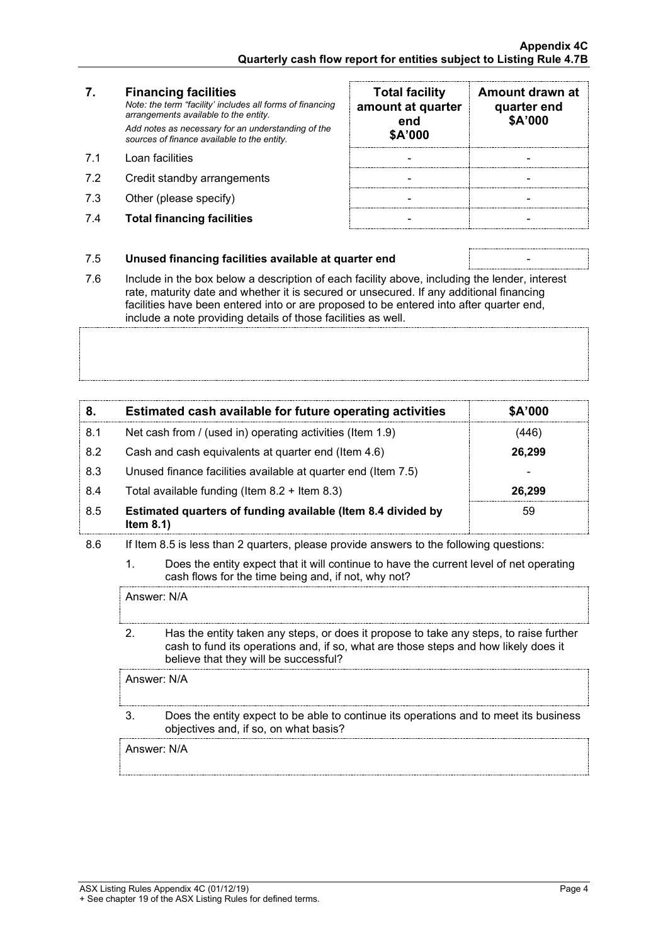# **7. Financing facilities**

*Note: the term "facility' includes all forms of financing arrangements available to the entity. Add notes as necessary for an understanding of the sources of finance available to the entity.*

- 7.1 Loan facilities
- 7.2 Credit standby arrangements
- 7.3 Other (please specify)
- 7.4 **Total financing facilities** -

| <b>Total facility</b><br>amount at quarter<br>end<br>\$A'000 | Amount drawn at<br>quarter end<br>\$A'000 |
|--------------------------------------------------------------|-------------------------------------------|
|                                                              |                                           |
|                                                              |                                           |
|                                                              |                                           |
|                                                              |                                           |

#### 7.5 **Unused financing facilities available at quarter end** -

7.6 Include in the box below a description of each facility above, including the lender, interest rate, maturity date and whether it is secured or unsecured. If any additional financing facilities have been entered into or are proposed to be entered into after quarter end,

include a note providing details of those facilities as well.

| 8.  | Estimated cash available for future operating activities                     | \$A'000 |
|-----|------------------------------------------------------------------------------|---------|
| 8.1 | Net cash from / (used in) operating activities (Item 1.9)                    | 446)    |
| 8.2 | Cash and cash equivalents at quarter end (Item 4.6)                          | 26,299  |
| 8.3 | Unused finance facilities available at quarter end (Item 7.5)                |         |
| 8.4 | Total available funding (Item $8.2 +$ Item $8.3$ )                           | 26.299  |
| 8.5 | Estimated quarters of funding available (Item 8.4 divided by<br>Item $8.1$ ) | 59      |

- 8.6 If Item 8.5 is less than 2 quarters, please provide answers to the following questions:
	- 1. Does the entity expect that it will continue to have the current level of net operating cash flows for the time being and, if not, why not?

Answer: N/A

2. Has the entity taken any steps, or does it propose to take any steps, to raise further cash to fund its operations and, if so, what are those steps and how likely does it believe that they will be successful?

Answer: N/A

3. Does the entity expect to be able to continue its operations and to meet its business objectives and, if so, on what basis?

Answer: N/A